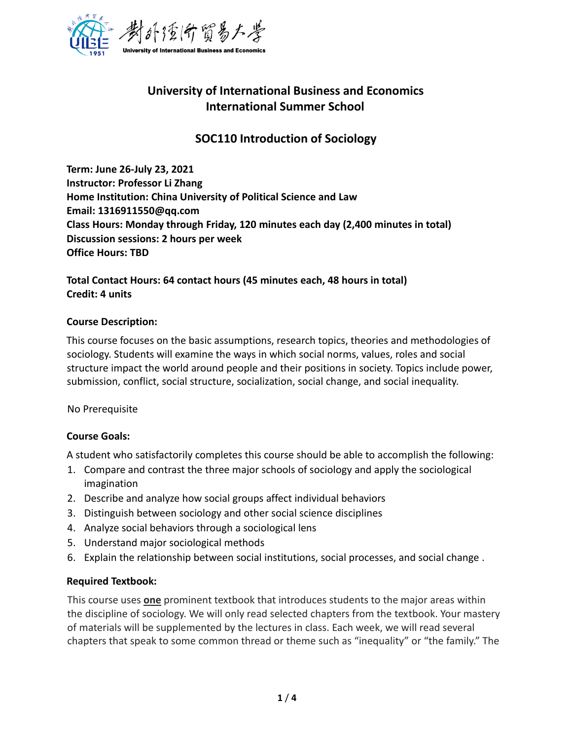

# **University of International Business and Economics International Summer School**

## **SOC110 Introduction of Sociology**

**Term: June 26-July 23, 2021 Instructor: Professor Li Zhang Home Institution: China University of Political Science and Law Email: 1316911550@qq.com Class Hours: Monday through Friday, 120 minutes each day (2,400 minutes in total) Discussion sessions: 2 hours per week Office Hours: TBD** 

### **Total Contact Hours: 64 contact hours (45 minutes each, 48 hours in total) Credit: 4 units**

#### **Course Description:**

This course focuses on the basic assumptions, research topics, theories and methodologies of sociology. Students will examine the ways in which social norms, values, roles and social structure impact the world around people and their positions in society. Topics include power, submission, conflict, social structure, socialization, social change, and social inequality.

No Prerequisite

#### **Course Goals:**

A student who satisfactorily completes this course should be able to accomplish the following:

- 1. Compare and contrast the three major schools of sociology and apply the sociological imagination
- 2. Describe and analyze how social groups affect individual behaviors
- 3. Distinguish between sociology and other social science disciplines
- 4. Analyze social behaviors through a sociological lens
- 5. Understand major sociological methods
- 6. Explain the relationship between social institutions, social processes, and social change .

#### **Required Textbook:**

This course uses **one** prominent textbook that introduces students to the major areas within the discipline of sociology. We will only read selected chapters from the textbook. Your mastery of materials will be supplemented by the lectures in class. Each week, we will read several chapters that speak to some common thread or theme such as "inequality" or "the family." The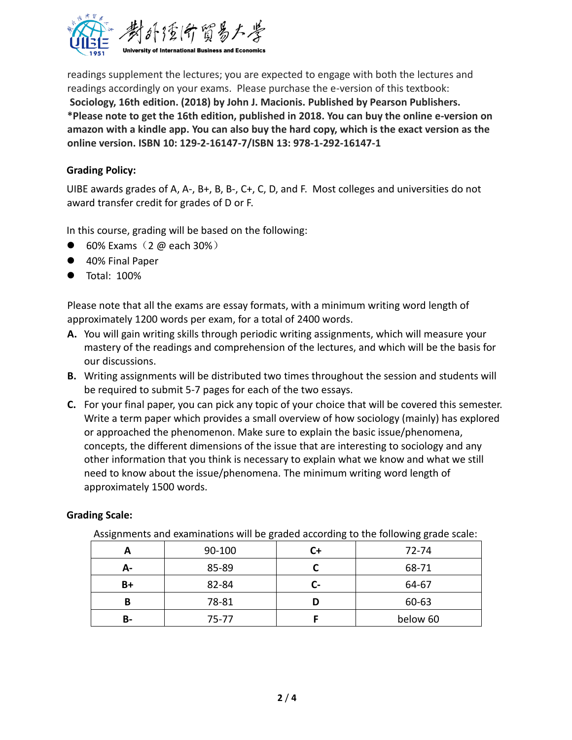

readings supplement the lectures; you are expected to engage with both the lectures and readings accordingly on your exams. Please purchase the e-version of this textbook: **Sociology, 16th edition. (2018) by John J. Macionis. Published by Pearson Publishers. \*Please note to get the 16th edition, published in 2018. You can buy the online e-version on amazon with a kindle app. You can also buy the hard copy, which is the exact version as the online version. ISBN 10: 129-2-16147-7/ISBN 13: 978-1-292-16147-1**

#### **Grading Policy:**

UIBE awards grades of A, A-, B+, B, B-, C+, C, D, and F. Most colleges and universities do not award transfer credit for grades of D or F.

In this course, grading will be based on the following:

- $\bullet$  60% Exams (2 @ each 30%)
- 40% Final Paper
- Total: 100%

Please note that all the exams are essay formats, with a minimum writing word length of approximately 1200 words per exam, for a total of 2400 words.

- **A.** You will gain writing skills through periodic writing assignments, which will measure your mastery of the readings and comprehension of the lectures, and which will be the basis for our discussions.
- **B.** Writing assignments will be distributed two times throughout the session and students will be required to submit 5-7 pages for each of the two essays.
- **C.** For your final paper, you can pick any topic of your choice that will be covered this semester. Write a term paper which provides a small overview of how sociology (mainly) has explored or approached the phenomenon. Make sure to explain the basic issue/phenomena, concepts, the different dimensions of the issue that are interesting to sociology and any other information that you think is necessary to explain what we know and what we still need to know about the issue/phenomena. The minimum writing word length of approximately 1500 words.

#### **Grading Scale:**

| Assignments and examinations will be graded according to the following grade scale. |        |    |          |
|-------------------------------------------------------------------------------------|--------|----|----------|
| A                                                                                   | 90-100 |    | 72-74    |
| А-                                                                                  | 85-89  |    | 68-71    |
| B+                                                                                  | 82-84  | L- | 64-67    |
| в                                                                                   | 78-81  |    | 60-63    |
| В-                                                                                  | 75-77  |    | below 60 |

Assignments and examinations will be graded according to the following grade scale: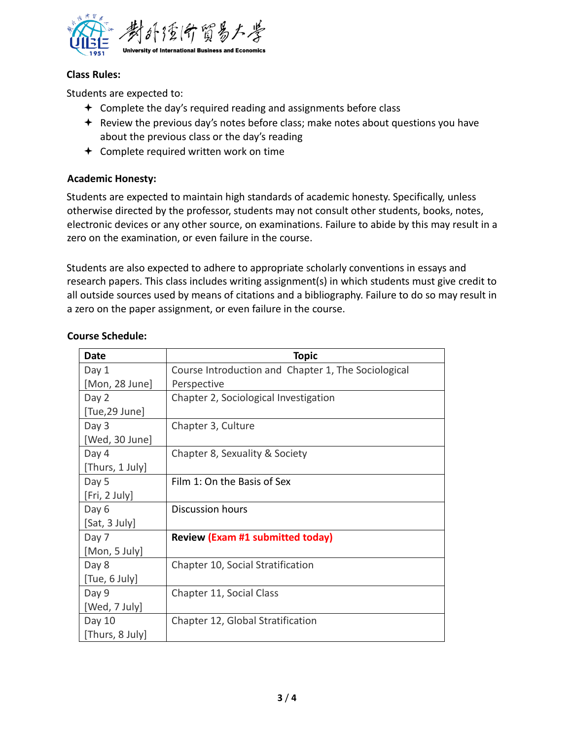

#### **Class Rules:**

Students are expected to:

- $\triangleq$  Complete the day's required reading and assignments before class
- $\triangleq$  Review the previous day's notes before class; make notes about questions you have about the previous class or the day's reading
- Complete required written work on time

#### **Academic Honesty:**

Students are expected to maintain high standards of academic honesty. Specifically, unless otherwise directed by the professor, students may not consult other students, books, notes, electronic devices or any other source, on examinations. Failure to abide by this may result in a zero on the examination, or even failure in the course.

Students are also expected to adhere to appropriate scholarly conventions in essays and research papers. This class includes writing assignment(s) in which students must give credit to all outside sources used by means of citations and a bibliography. Failure to do so may result in a zero on the paper assignment, or even failure in the course.

| <b>Date</b>     | <b>Topic</b>                                        |
|-----------------|-----------------------------------------------------|
| Day 1           | Course Introduction and Chapter 1, The Sociological |
| [Mon, 28 June]  | Perspective                                         |
| Day 2           | Chapter 2, Sociological Investigation               |
| [Tue,29 June]   |                                                     |
| Day 3           | Chapter 3, Culture                                  |
| [Wed, 30 June]  |                                                     |
| Day 4           | Chapter 8, Sexuality & Society                      |
| [Thurs, 1 July] |                                                     |
| Day 5           | Film 1: On the Basis of Sex                         |
| [Fri, 2 July]   |                                                     |
| Day 6           | <b>Discussion hours</b>                             |
| [Sat, 3 July]   |                                                     |
| Day 7           | <b>Review (Exam #1 submitted today)</b>             |
| [Mon, 5 July]   |                                                     |
| Day 8           | Chapter 10, Social Stratification                   |
| [Tue, 6 July]   |                                                     |
| Day 9           | Chapter 11, Social Class                            |
| [Wed, 7 July]   |                                                     |
| Day 10          | Chapter 12, Global Stratification                   |
| [Thurs, 8 July] |                                                     |

#### **Course Schedule:**